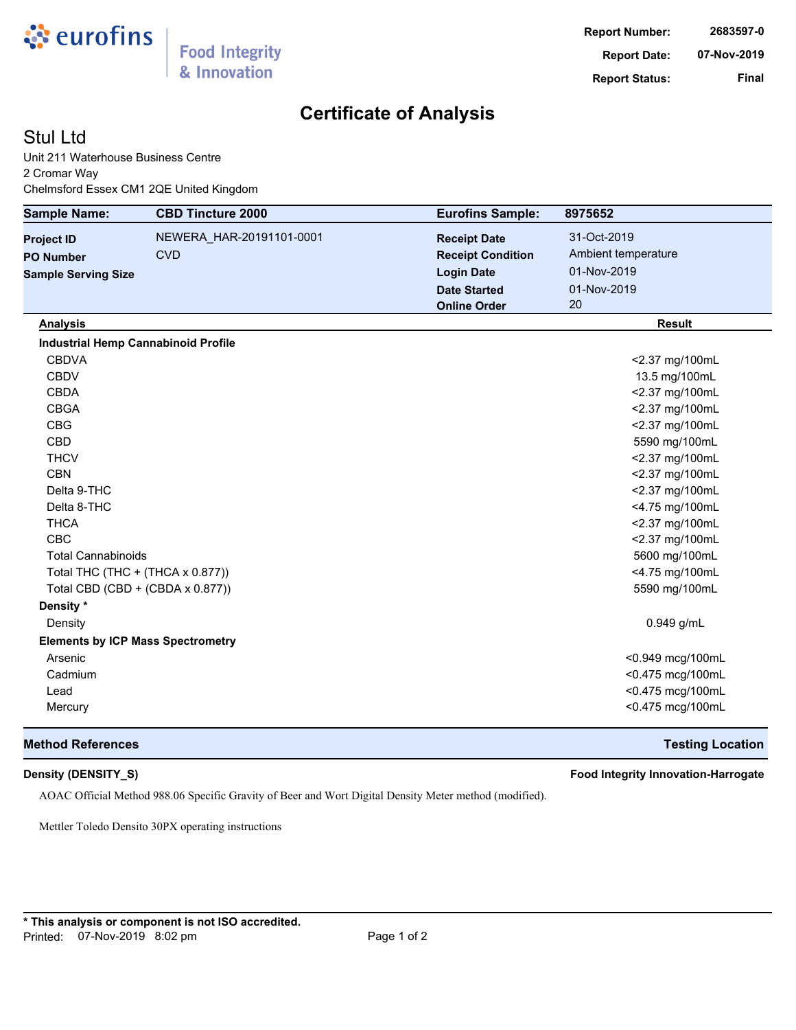

# **Certificate of Analysis**

## Stul Ltd

Unit 211 Waterhouse Business Centre 2 Cromar Way Chelmsford Essex CM1 2QE United Kingdom

| <b>Sample Name:</b>              | <b>CBD Tincture 2000</b>                   | <b>Eurofins Sample:</b>  | 8975652             |
|----------------------------------|--------------------------------------------|--------------------------|---------------------|
| <b>Project ID</b>                | NEWERA HAR-20191101-0001                   | <b>Receipt Date</b>      | 31-Oct-2019         |
| <b>PO Number</b>                 | <b>CVD</b>                                 | <b>Receipt Condition</b> | Ambient temperature |
| <b>Sample Serving Size</b>       |                                            | <b>Login Date</b>        | 01-Nov-2019         |
|                                  |                                            | <b>Date Started</b>      | 01-Nov-2019         |
|                                  |                                            | <b>Online Order</b>      | 20                  |
| <b>Analysis</b>                  |                                            |                          | <b>Result</b>       |
|                                  | <b>Industrial Hemp Cannabinoid Profile</b> |                          |                     |
| <b>CBDVA</b>                     |                                            |                          | <2.37 mg/100mL      |
| <b>CBDV</b>                      |                                            |                          | 13.5 mg/100mL       |
| <b>CBDA</b>                      |                                            |                          | <2.37 mg/100mL      |
| <b>CBGA</b>                      |                                            |                          | <2.37 mg/100mL      |
| <b>CBG</b>                       |                                            |                          | <2.37 mg/100mL      |
| <b>CBD</b>                       |                                            |                          | 5590 mg/100mL       |
| <b>THCV</b>                      |                                            |                          | <2.37 mg/100mL      |
| <b>CBN</b>                       |                                            |                          | <2.37 mg/100mL      |
| Delta 9-THC                      |                                            |                          | <2.37 mg/100mL      |
| Delta 8-THC                      |                                            |                          | <4.75 mg/100mL      |
| <b>THCA</b>                      |                                            |                          | <2.37 mg/100mL      |
| <b>CBC</b>                       |                                            |                          | <2.37 mg/100mL      |
| <b>Total Cannabinoids</b>        |                                            |                          | 5600 mg/100mL       |
| Total THC (THC + (THCA x 0.877)) |                                            |                          | <4.75 mg/100mL      |
|                                  | Total CBD (CBD + (CBDA x 0.877))           |                          | 5590 mg/100mL       |
| Density *                        |                                            |                          |                     |
| Density                          |                                            |                          | $0.949$ g/mL        |
|                                  | <b>Elements by ICP Mass Spectrometry</b>   |                          |                     |
| Arsenic                          |                                            |                          | <0.949 mcg/100mL    |
| Cadmium                          |                                            |                          | <0.475 mcg/100mL    |
| Lead                             |                                            |                          | <0.475 mcg/100mL    |
| Mercury                          |                                            |                          | <0.475 mcg/100mL    |

### **Method References Testing Location**

**Density (DENSITY\_S) Food Integrity Innovation-Harrogate**

AOAC Official Method 988.06 Specific Gravity of Beer and Wort Digital Density Meter method (modified).

Mettler Toledo Densito 30PX operating instructions